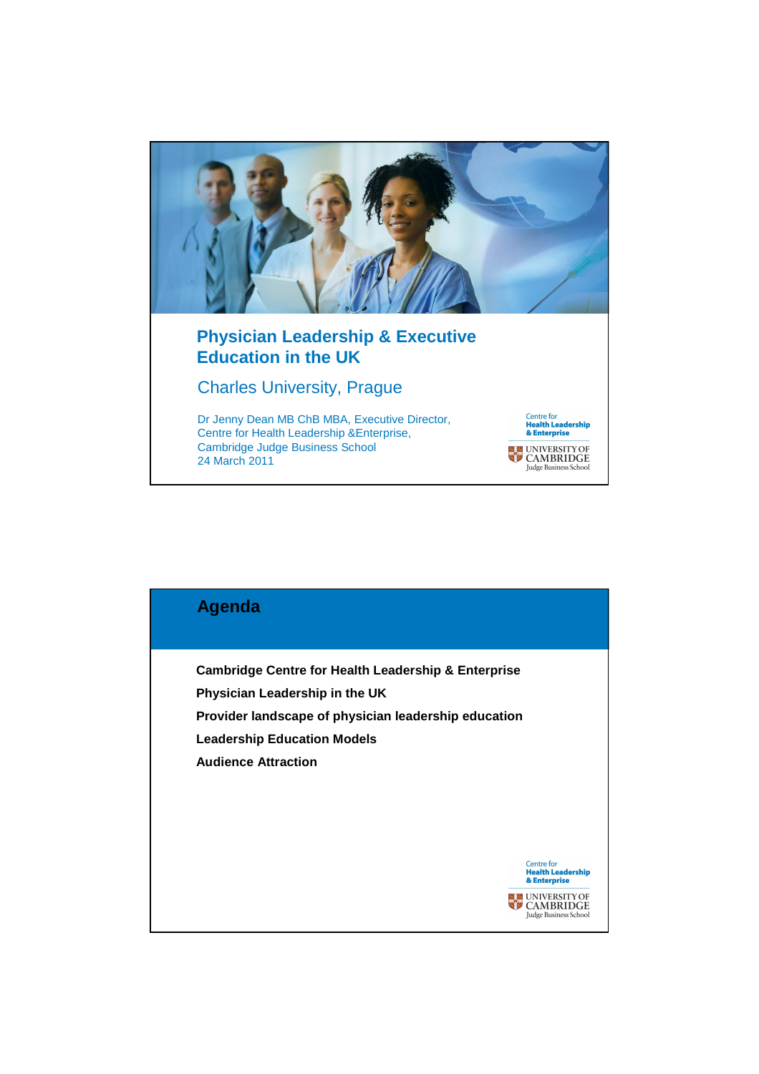

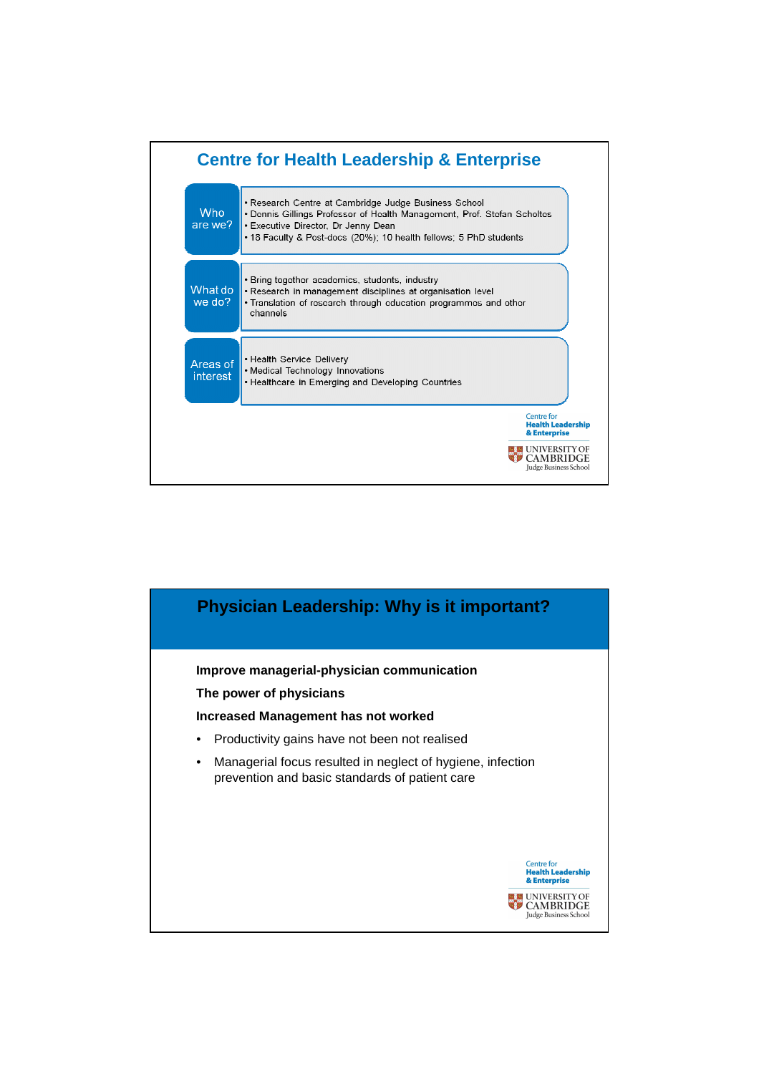

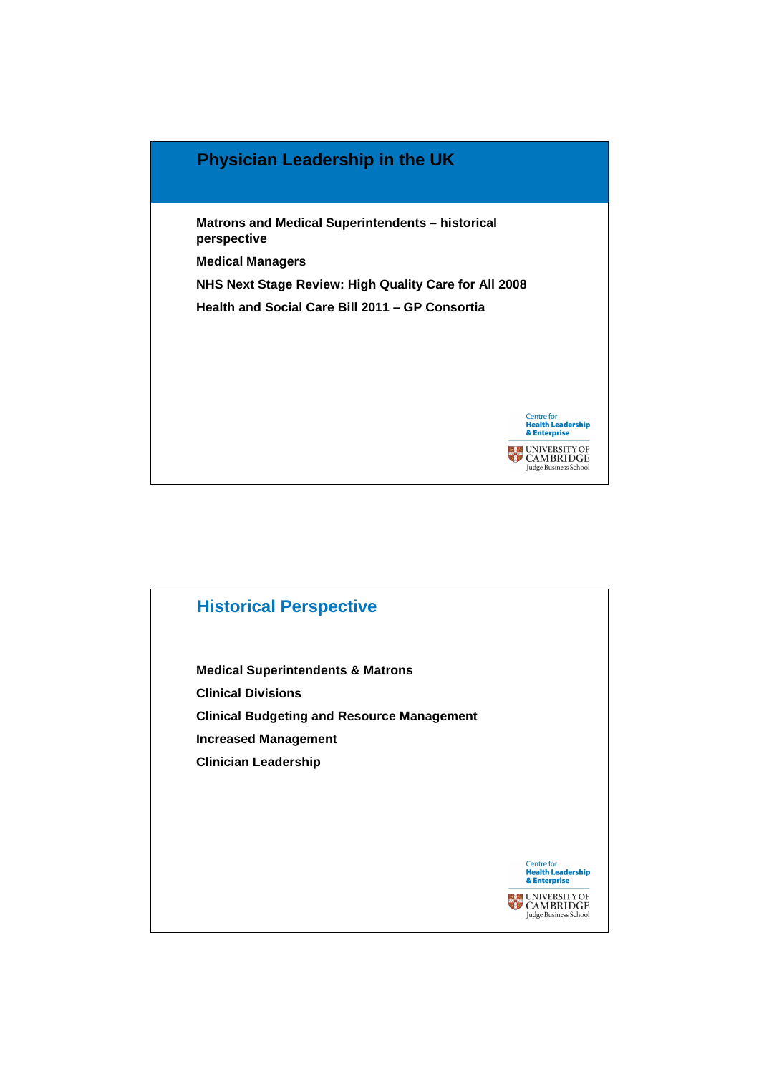

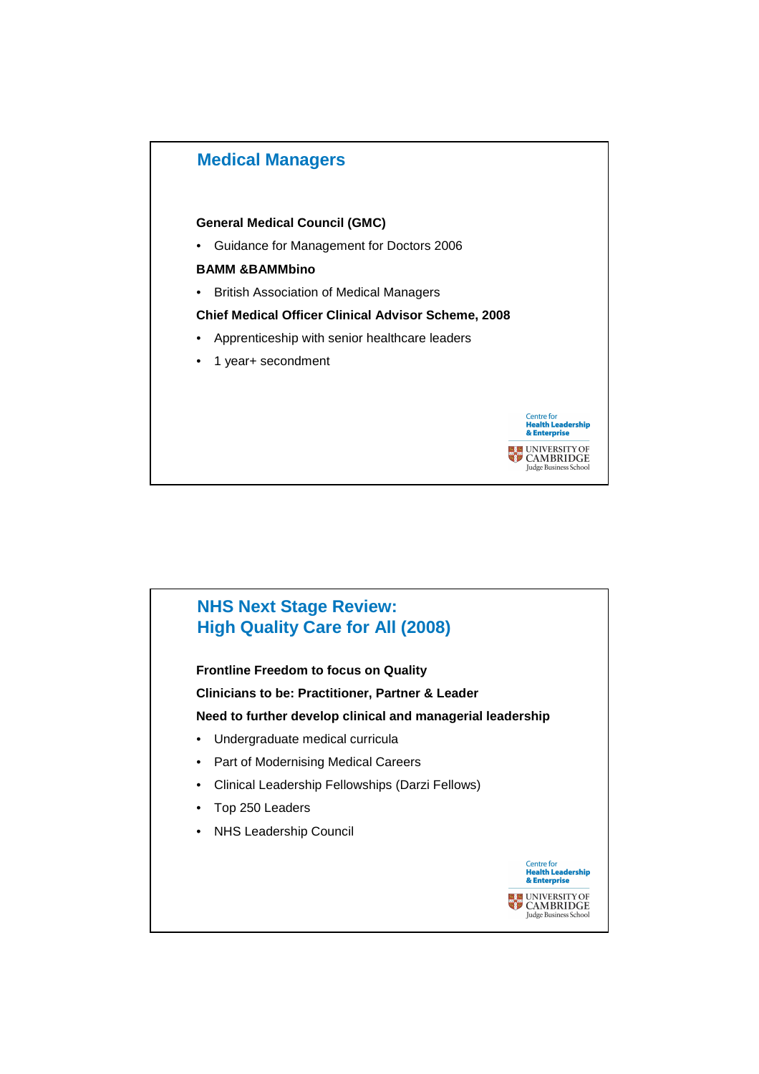

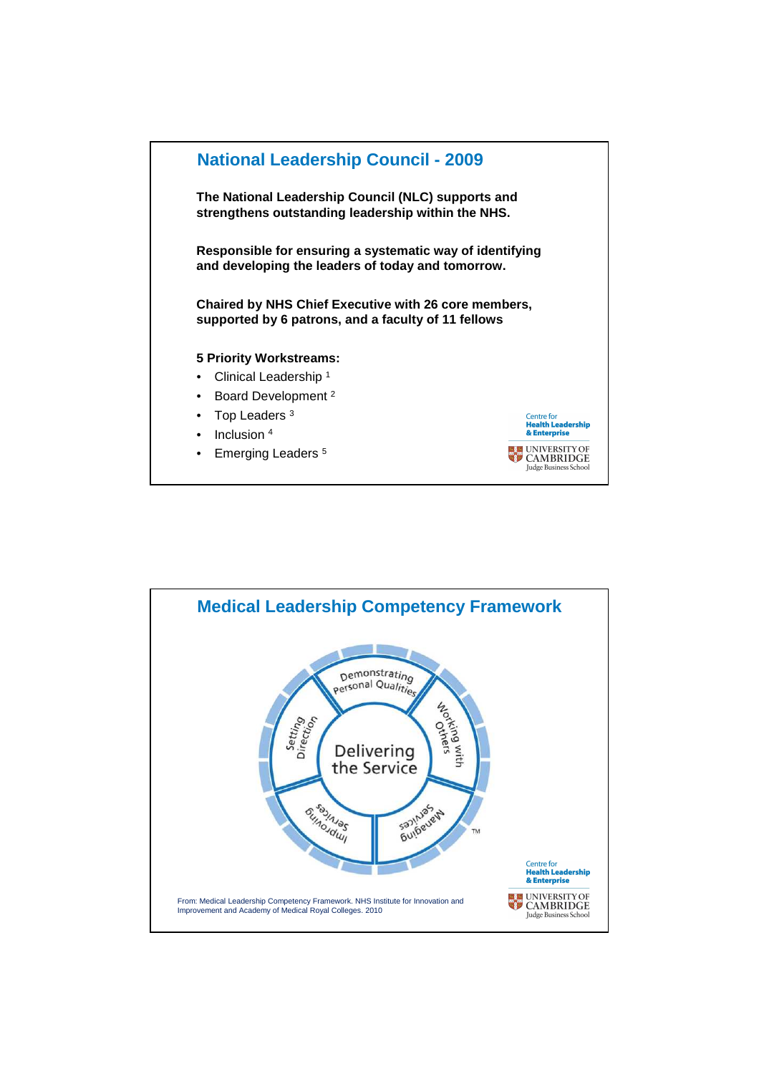

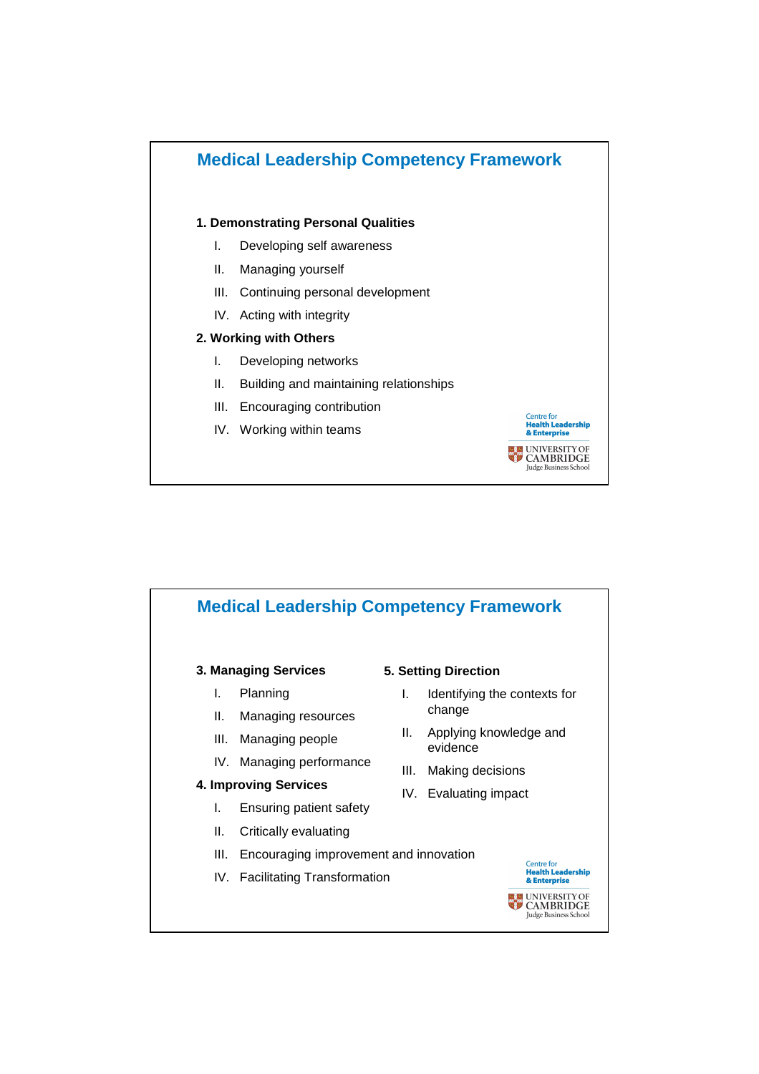

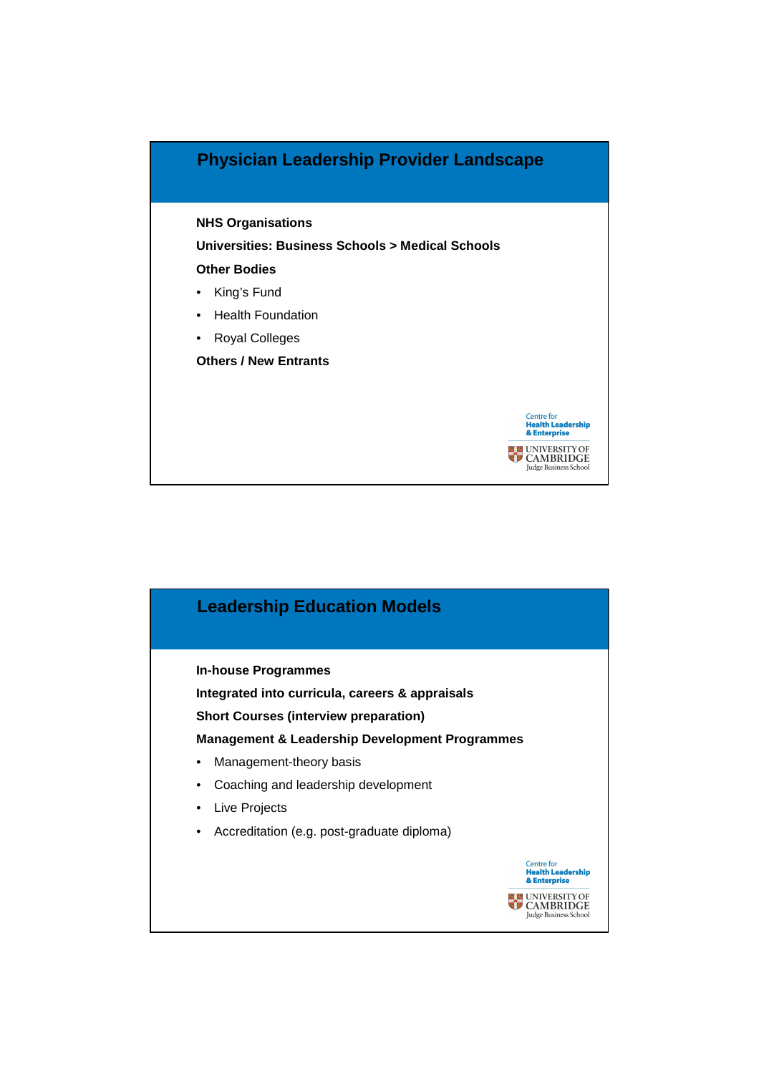

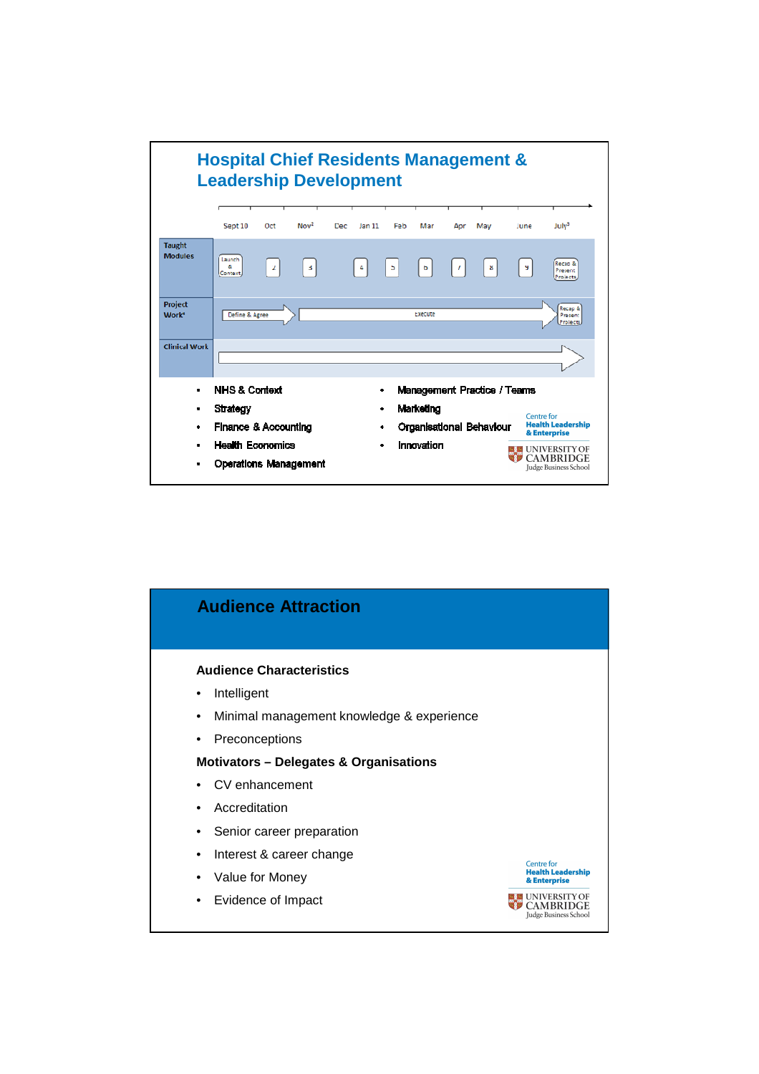